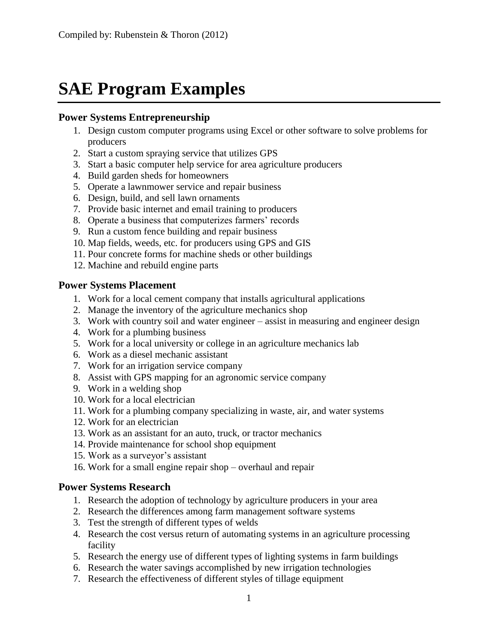# **SAE Program Examples**

## **Power Systems Entrepreneurship**

- 1. Design custom computer programs using Excel or other software to solve problems for producers
- 2. Start a custom spraying service that utilizes GPS
- 3. Start a basic computer help service for area agriculture producers
- 4. Build garden sheds for homeowners
- 5. Operate a lawnmower service and repair business
- 6. Design, build, and sell lawn ornaments
- 7. Provide basic internet and email training to producers
- 8. Operate a business that computerizes farmers' records
- 9. Run a custom fence building and repair business
- 10. Map fields, weeds, etc. for producers using GPS and GIS
- 11. Pour concrete forms for machine sheds or other buildings
- 12. Machine and rebuild engine parts

## **Power Systems Placement**

- 1. Work for a local cement company that installs agricultural applications
- 2. Manage the inventory of the agriculture mechanics shop
- 3. Work with country soil and water engineer assist in measuring and engineer design
- 4. Work for a plumbing business
- 5. Work for a local university or college in an agriculture mechanics lab
- 6. Work as a diesel mechanic assistant
- 7. Work for an irrigation service company
- 8. Assist with GPS mapping for an agronomic service company
- 9. Work in a welding shop
- 10. Work for a local electrician
- 11. Work for a plumbing company specializing in waste, air, and water systems
- 12. Work for an electrician
- 13. Work as an assistant for an auto, truck, or tractor mechanics
- 14. Provide maintenance for school shop equipment
- 15. Work as a surveyor's assistant
- 16. Work for a small engine repair shop overhaul and repair

## **Power Systems Research**

- 1. Research the adoption of technology by agriculture producers in your area
- 2. Research the differences among farm management software systems
- 3. Test the strength of different types of welds
- 4. Research the cost versus return of automating systems in an agriculture processing facility
- 5. Research the energy use of different types of lighting systems in farm buildings
- 6. Research the water savings accomplished by new irrigation technologies
- 7. Research the effectiveness of different styles of tillage equipment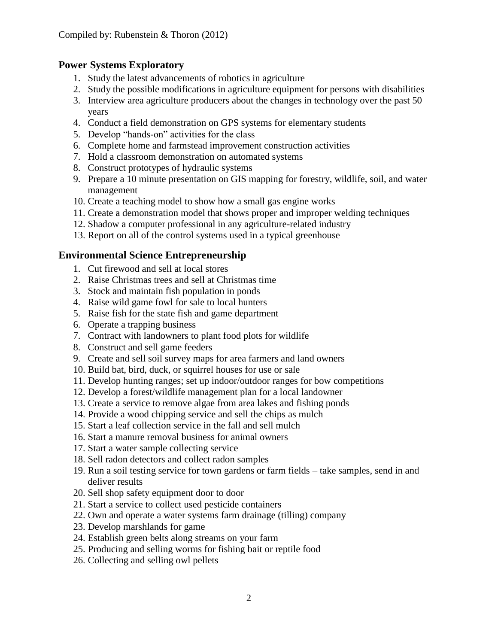# **Power Systems Exploratory**

- 1. Study the latest advancements of robotics in agriculture
- 2. Study the possible modifications in agriculture equipment for persons with disabilities
- 3. Interview area agriculture producers about the changes in technology over the past 50 years
- 4. Conduct a field demonstration on GPS systems for elementary students
- 5. Develop "hands-on" activities for the class
- 6. Complete home and farmstead improvement construction activities
- 7. Hold a classroom demonstration on automated systems
- 8. Construct prototypes of hydraulic systems
- 9. Prepare a 10 minute presentation on GIS mapping for forestry, wildlife, soil, and water management
- 10. Create a teaching model to show how a small gas engine works
- 11. Create a demonstration model that shows proper and improper welding techniques
- 12. Shadow a computer professional in any agriculture-related industry
- 13. Report on all of the control systems used in a typical greenhouse

# **Environmental Science Entrepreneurship**

- 1. Cut firewood and sell at local stores
- 2. Raise Christmas trees and sell at Christmas time
- 3. Stock and maintain fish population in ponds
- 4. Raise wild game fowl for sale to local hunters
- 5. Raise fish for the state fish and game department
- 6. Operate a trapping business
- 7. Contract with landowners to plant food plots for wildlife
- 8. Construct and sell game feeders
- 9. Create and sell soil survey maps for area farmers and land owners
- 10. Build bat, bird, duck, or squirrel houses for use or sale
- 11. Develop hunting ranges; set up indoor/outdoor ranges for bow competitions
- 12. Develop a forest/wildlife management plan for a local landowner
- 13. Create a service to remove algae from area lakes and fishing ponds
- 14. Provide a wood chipping service and sell the chips as mulch
- 15. Start a leaf collection service in the fall and sell mulch
- 16. Start a manure removal business for animal owners
- 17. Start a water sample collecting service
- 18. Sell radon detectors and collect radon samples
- 19. Run a soil testing service for town gardens or farm fields take samples, send in and deliver results
- 20. Sell shop safety equipment door to door
- 21. Start a service to collect used pesticide containers
- 22. Own and operate a water systems farm drainage (tilling) company
- 23. Develop marshlands for game
- 24. Establish green belts along streams on your farm
- 25. Producing and selling worms for fishing bait or reptile food
- 26. Collecting and selling owl pellets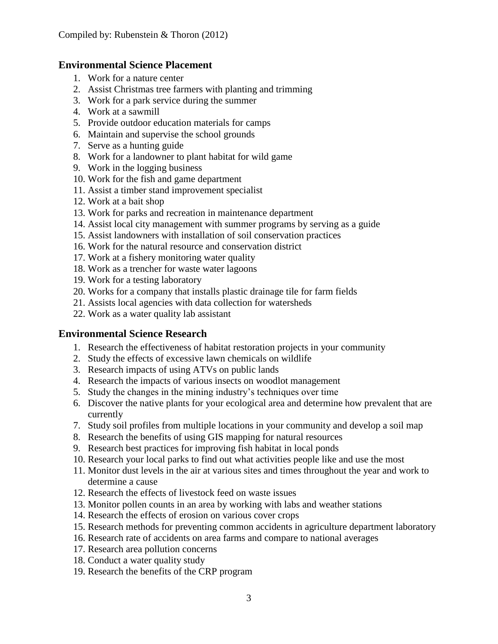## **Environmental Science Placement**

- 1. Work for a nature center
- 2. Assist Christmas tree farmers with planting and trimming
- 3. Work for a park service during the summer
- 4. Work at a sawmill
- 5. Provide outdoor education materials for camps
- 6. Maintain and supervise the school grounds
- 7. Serve as a hunting guide
- 8. Work for a landowner to plant habitat for wild game
- 9. Work in the logging business
- 10. Work for the fish and game department
- 11. Assist a timber stand improvement specialist
- 12. Work at a bait shop
- 13. Work for parks and recreation in maintenance department
- 14. Assist local city management with summer programs by serving as a guide
- 15. Assist landowners with installation of soil conservation practices
- 16. Work for the natural resource and conservation district
- 17. Work at a fishery monitoring water quality
- 18. Work as a trencher for waste water lagoons
- 19. Work for a testing laboratory
- 20. Works for a company that installs plastic drainage tile for farm fields
- 21. Assists local agencies with data collection for watersheds
- 22. Work as a water quality lab assistant

# **Environmental Science Research**

- 1. Research the effectiveness of habitat restoration projects in your community
- 2. Study the effects of excessive lawn chemicals on wildlife
- 3. Research impacts of using ATVs on public lands
- 4. Research the impacts of various insects on woodlot management
- 5. Study the changes in the mining industry's techniques over time
- 6. Discover the native plants for your ecological area and determine how prevalent that are currently
- 7. Study soil profiles from multiple locations in your community and develop a soil map
- 8. Research the benefits of using GIS mapping for natural resources
- 9. Research best practices for improving fish habitat in local ponds
- 10. Research your local parks to find out what activities people like and use the most
- 11. Monitor dust levels in the air at various sites and times throughout the year and work to determine a cause
- 12. Research the effects of livestock feed on waste issues
- 13. Monitor pollen counts in an area by working with labs and weather stations
- 14. Research the effects of erosion on various cover crops
- 15. Research methods for preventing common accidents in agriculture department laboratory
- 16. Research rate of accidents on area farms and compare to national averages
- 17. Research area pollution concerns
- 18. Conduct a water quality study
- 19. Research the benefits of the CRP program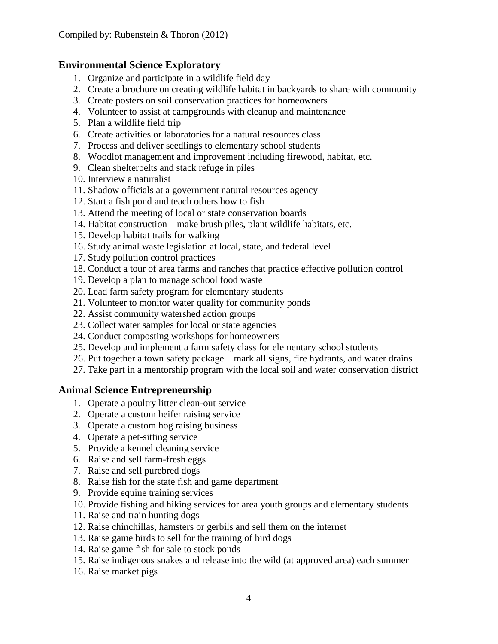## **Environmental Science Exploratory**

- 1. Organize and participate in a wildlife field day
- 2. Create a brochure on creating wildlife habitat in backyards to share with community
- 3. Create posters on soil conservation practices for homeowners
- 4. Volunteer to assist at campgrounds with cleanup and maintenance
- 5. Plan a wildlife field trip
- 6. Create activities or laboratories for a natural resources class
- 7. Process and deliver seedlings to elementary school students
- 8. Woodlot management and improvement including firewood, habitat, etc.
- 9. Clean shelterbelts and stack refuge in piles
- 10. Interview a naturalist
- 11. Shadow officials at a government natural resources agency
- 12. Start a fish pond and teach others how to fish
- 13. Attend the meeting of local or state conservation boards
- 14. Habitat construction make brush piles, plant wildlife habitats, etc.
- 15. Develop habitat trails for walking
- 16. Study animal waste legislation at local, state, and federal level
- 17. Study pollution control practices
- 18. Conduct a tour of area farms and ranches that practice effective pollution control
- 19. Develop a plan to manage school food waste
- 20. Lead farm safety program for elementary students
- 21. Volunteer to monitor water quality for community ponds
- 22. Assist community watershed action groups
- 23. Collect water samples for local or state agencies
- 24. Conduct composting workshops for homeowners
- 25. Develop and implement a farm safety class for elementary school students
- 26. Put together a town safety package mark all signs, fire hydrants, and water drains
- 27. Take part in a mentorship program with the local soil and water conservation district

# **Animal Science Entrepreneurship**

- 1. Operate a poultry litter clean-out service
- 2. Operate a custom heifer raising service
- 3. Operate a custom hog raising business
- 4. Operate a pet-sitting service
- 5. Provide a kennel cleaning service
- 6. Raise and sell farm-fresh eggs
- 7. Raise and sell purebred dogs
- 8. Raise fish for the state fish and game department
- 9. Provide equine training services
- 10. Provide fishing and hiking services for area youth groups and elementary students
- 11. Raise and train hunting dogs
- 12. Raise chinchillas, hamsters or gerbils and sell them on the internet
- 13. Raise game birds to sell for the training of bird dogs
- 14. Raise game fish for sale to stock ponds
- 15. Raise indigenous snakes and release into the wild (at approved area) each summer
- 16. Raise market pigs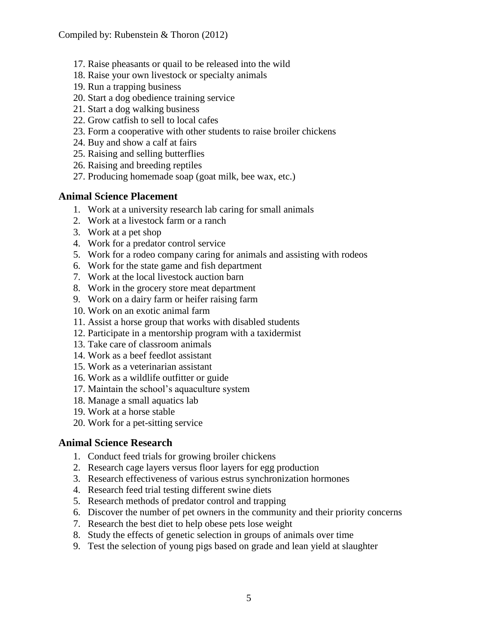- 17. Raise pheasants or quail to be released into the wild
- 18. Raise your own livestock or specialty animals
- 19. Run a trapping business
- 20. Start a dog obedience training service
- 21. Start a dog walking business
- 22. Grow catfish to sell to local cafes
- 23. Form a cooperative with other students to raise broiler chickens
- 24. Buy and show a calf at fairs
- 25. Raising and selling butterflies
- 26. Raising and breeding reptiles
- 27. Producing homemade soap (goat milk, bee wax, etc.)

# **Animal Science Placement**

- 1. Work at a university research lab caring for small animals
- 2. Work at a livestock farm or a ranch
- 3. Work at a pet shop
- 4. Work for a predator control service
- 5. Work for a rodeo company caring for animals and assisting with rodeos
- 6. Work for the state game and fish department
- 7. Work at the local livestock auction barn
- 8. Work in the grocery store meat department
- 9. Work on a dairy farm or heifer raising farm
- 10. Work on an exotic animal farm
- 11. Assist a horse group that works with disabled students
- 12. Participate in a mentorship program with a taxidermist
- 13. Take care of classroom animals
- 14. Work as a beef feedlot assistant
- 15. Work as a veterinarian assistant
- 16. Work as a wildlife outfitter or guide
- 17. Maintain the school's aquaculture system
- 18. Manage a small aquatics lab
- 19. Work at a horse stable
- 20. Work for a pet-sitting service

# **Animal Science Research**

- 1. Conduct feed trials for growing broiler chickens
- 2. Research cage layers versus floor layers for egg production
- 3. Research effectiveness of various estrus synchronization hormones
- 4. Research feed trial testing different swine diets
- 5. Research methods of predator control and trapping
- 6. Discover the number of pet owners in the community and their priority concerns
- 7. Research the best diet to help obese pets lose weight
- 8. Study the effects of genetic selection in groups of animals over time
- 9. Test the selection of young pigs based on grade and lean yield at slaughter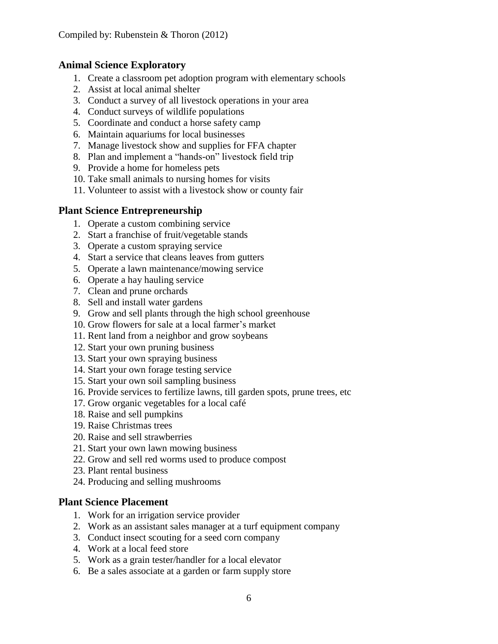# **Animal Science Exploratory**

- 1. Create a classroom pet adoption program with elementary schools
- 2. Assist at local animal shelter
- 3. Conduct a survey of all livestock operations in your area
- 4. Conduct surveys of wildlife populations
- 5. Coordinate and conduct a horse safety camp
- 6. Maintain aquariums for local businesses
- 7. Manage livestock show and supplies for FFA chapter
- 8. Plan and implement a "hands-on" livestock field trip
- 9. Provide a home for homeless pets
- 10. Take small animals to nursing homes for visits
- 11. Volunteer to assist with a livestock show or county fair

# **Plant Science Entrepreneurship**

- 1. Operate a custom combining service
- 2. Start a franchise of fruit/vegetable stands
- 3. Operate a custom spraying service
- 4. Start a service that cleans leaves from gutters
- 5. Operate a lawn maintenance/mowing service
- 6. Operate a hay hauling service
- 7. Clean and prune orchards
- 8. Sell and install water gardens
- 9. Grow and sell plants through the high school greenhouse
- 10. Grow flowers for sale at a local farmer's market
- 11. Rent land from a neighbor and grow soybeans
- 12. Start your own pruning business
- 13. Start your own spraying business
- 14. Start your own forage testing service
- 15. Start your own soil sampling business
- 16. Provide services to fertilize lawns, till garden spots, prune trees, etc
- 17. Grow organic vegetables for a local café
- 18. Raise and sell pumpkins
- 19. Raise Christmas trees
- 20. Raise and sell strawberries
- 21. Start your own lawn mowing business
- 22. Grow and sell red worms used to produce compost
- 23. Plant rental business
- 24. Producing and selling mushrooms

# **Plant Science Placement**

- 1. Work for an irrigation service provider
- 2. Work as an assistant sales manager at a turf equipment company
- 3. Conduct insect scouting for a seed corn company
- 4. Work at a local feed store
- 5. Work as a grain tester/handler for a local elevator
- 6. Be a sales associate at a garden or farm supply store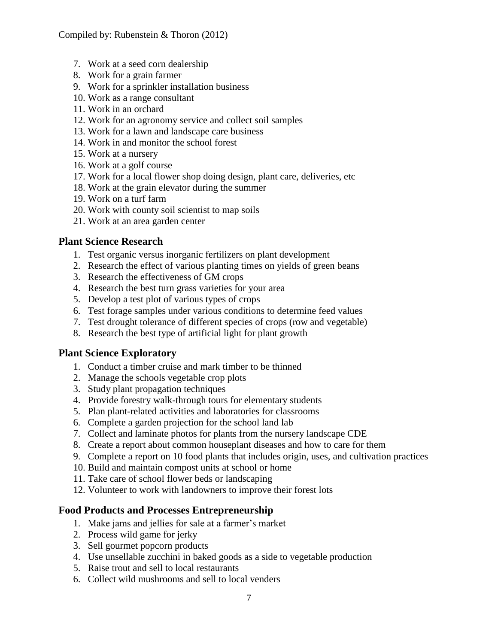- 7. Work at a seed corn dealership
- 8. Work for a grain farmer
- 9. Work for a sprinkler installation business
- 10. Work as a range consultant
- 11. Work in an orchard
- 12. Work for an agronomy service and collect soil samples
- 13. Work for a lawn and landscape care business
- 14. Work in and monitor the school forest
- 15. Work at a nursery
- 16. Work at a golf course
- 17. Work for a local flower shop doing design, plant care, deliveries, etc
- 18. Work at the grain elevator during the summer
- 19. Work on a turf farm
- 20. Work with county soil scientist to map soils
- 21. Work at an area garden center

# **Plant Science Research**

- 1. Test organic versus inorganic fertilizers on plant development
- 2. Research the effect of various planting times on yields of green beans
- 3. Research the effectiveness of GM crops
- 4. Research the best turn grass varieties for your area
- 5. Develop a test plot of various types of crops
- 6. Test forage samples under various conditions to determine feed values
- 7. Test drought tolerance of different species of crops (row and vegetable)
- 8. Research the best type of artificial light for plant growth

# **Plant Science Exploratory**

- 1. Conduct a timber cruise and mark timber to be thinned
- 2. Manage the schools vegetable crop plots
- 3. Study plant propagation techniques
- 4. Provide forestry walk-through tours for elementary students
- 5. Plan plant-related activities and laboratories for classrooms
- 6. Complete a garden projection for the school land lab
- 7. Collect and laminate photos for plants from the nursery landscape CDE
- 8. Create a report about common houseplant diseases and how to care for them
- 9. Complete a report on 10 food plants that includes origin, uses, and cultivation practices
- 10. Build and maintain compost units at school or home
- 11. Take care of school flower beds or landscaping
- 12. Volunteer to work with landowners to improve their forest lots

# **Food Products and Processes Entrepreneurship**

- 1. Make jams and jellies for sale at a farmer's market
- 2. Process wild game for jerky
- 3. Sell gourmet popcorn products
- 4. Use unsellable zucchini in baked goods as a side to vegetable production
- 5. Raise trout and sell to local restaurants
- 6. Collect wild mushrooms and sell to local venders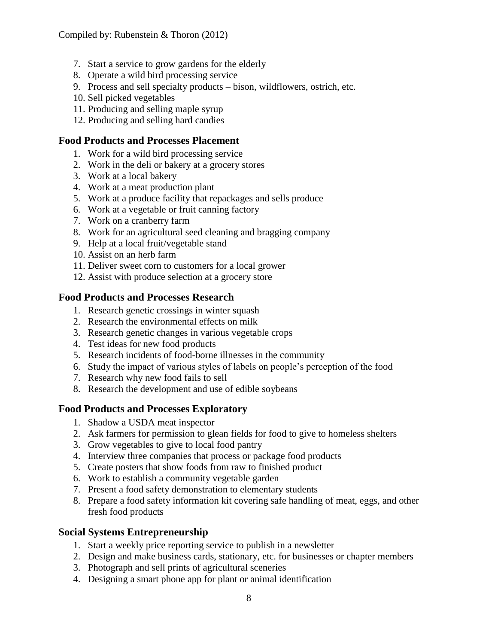- 7. Start a service to grow gardens for the elderly
- 8. Operate a wild bird processing service
- 9. Process and sell specialty products bison, wildflowers, ostrich, etc.
- 10. Sell picked vegetables
- 11. Producing and selling maple syrup
- 12. Producing and selling hard candies

## **Food Products and Processes Placement**

- 1. Work for a wild bird processing service
- 2. Work in the deli or bakery at a grocery stores
- 3. Work at a local bakery
- 4. Work at a meat production plant
- 5. Work at a produce facility that repackages and sells produce
- 6. Work at a vegetable or fruit canning factory
- 7. Work on a cranberry farm
- 8. Work for an agricultural seed cleaning and bragging company
- 9. Help at a local fruit/vegetable stand
- 10. Assist on an herb farm
- 11. Deliver sweet corn to customers for a local grower
- 12. Assist with produce selection at a grocery store

## **Food Products and Processes Research**

- 1. Research genetic crossings in winter squash
- 2. Research the environmental effects on milk
- 3. Research genetic changes in various vegetable crops
- 4. Test ideas for new food products
- 5. Research incidents of food-borne illnesses in the community
- 6. Study the impact of various styles of labels on people's perception of the food
- 7. Research why new food fails to sell
- 8. Research the development and use of edible soybeans

## **Food Products and Processes Exploratory**

- 1. Shadow a USDA meat inspector
- 2. Ask farmers for permission to glean fields for food to give to homeless shelters
- 3. Grow vegetables to give to local food pantry
- 4. Interview three companies that process or package food products
- 5. Create posters that show foods from raw to finished product
- 6. Work to establish a community vegetable garden
- 7. Present a food safety demonstration to elementary students
- 8. Prepare a food safety information kit covering safe handling of meat, eggs, and other fresh food products

## **Social Systems Entrepreneurship**

- 1. Start a weekly price reporting service to publish in a newsletter
- 2. Design and make business cards, stationary, etc. for businesses or chapter members
- 3. Photograph and sell prints of agricultural sceneries
- 4. Designing a smart phone app for plant or animal identification